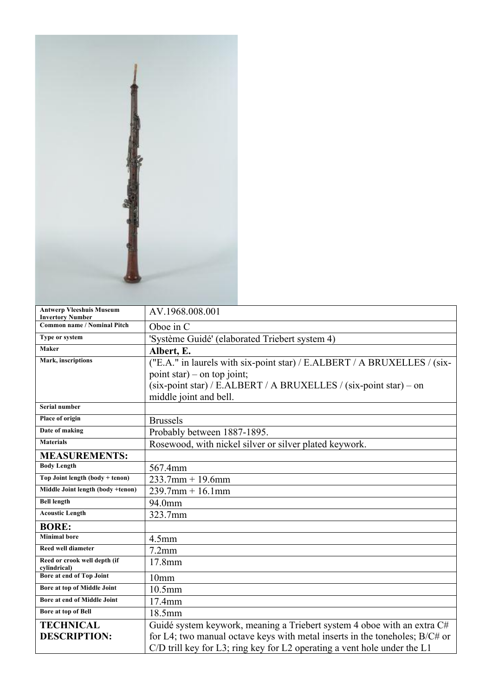

| <b>Antwerp Vleeshuis Museum</b><br><b>Invertory Number</b> | AV.1968.008.001                                                             |
|------------------------------------------------------------|-----------------------------------------------------------------------------|
| <b>Common name / Nominal Pitch</b>                         | Oboe in C                                                                   |
| Type or system                                             | 'Système Guidé' (elaborated Triebert system 4)                              |
| Maker                                                      | Albert, E.                                                                  |
| Mark, inscriptions                                         | ("E.A." in laurels with six-point star) / E.ALBERT / A BRUXELLES / (six-    |
|                                                            | point star) – on top joint;                                                 |
|                                                            | (six-point star) / E.ALBERT / A BRUXELLES / (six-point star) – on           |
|                                                            | middle joint and bell.                                                      |
| Serial number                                              |                                                                             |
| Place of origin                                            | <b>Brussels</b>                                                             |
| Date of making                                             | Probably between 1887-1895.                                                 |
| <b>Materials</b>                                           | Rosewood, with nickel silver or silver plated keywork.                      |
| <b>MEASUREMENTS:</b>                                       |                                                                             |
| <b>Body Length</b>                                         | 567.4mm                                                                     |
| Top Joint length $(body + tenon)$                          | $233.7$ mm + 19.6mm                                                         |
| Middle Joint length (body +tenon)                          | $239.7$ mm + 16.1mm                                                         |
| <b>Bell length</b>                                         | 94.0mm                                                                      |
| <b>Acoustic Length</b>                                     | 323.7mm                                                                     |
| <b>BORE:</b>                                               |                                                                             |
| <b>Minimal bore</b>                                        | 4.5 <sub>mm</sub>                                                           |
| <b>Reed well diameter</b>                                  | $7.2$ mm                                                                    |
| Reed or crook well depth (if<br>cylindrical)               | 17.8mm                                                                      |
| Bore at end of Top Joint                                   | 10 <sub>mm</sub>                                                            |
| Bore at top of Middle Joint                                | 10.5mm                                                                      |
| Bore at end of Middle Joint                                | 17.4mm                                                                      |
| <b>Bore at top of Bell</b>                                 | 18.5mm                                                                      |
| <b>TECHNICAL</b>                                           | Guidé system keywork, meaning a Triebert system 4 oboe with an extra C#     |
| <b>DESCRIPTION:</b>                                        | for L4; two manual octave keys with metal inserts in the toneholes; B/C# or |
|                                                            | $C/D$ trill key for L3; ring key for L2 operating a vent hole under the L1  |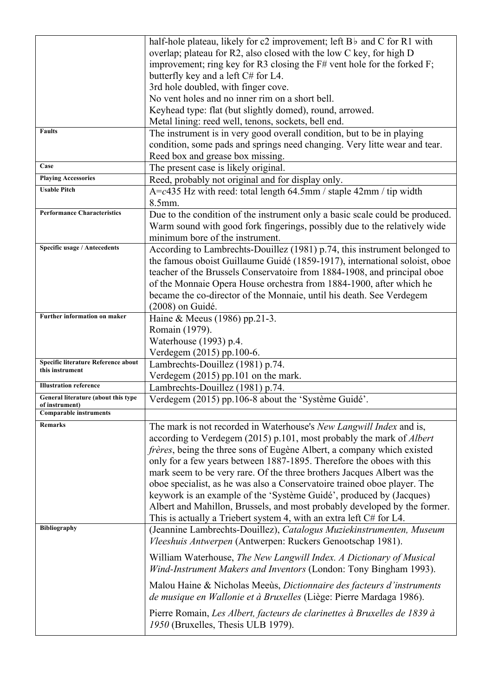|                                     | half-hole plateau, likely for c2 improvement; left Bb and C for R1 with      |
|-------------------------------------|------------------------------------------------------------------------------|
|                                     | overlap; plateau for R2, also closed with the low C key, for high D          |
|                                     | improvement; ring key for R3 closing the F# vent hole for the forked F;      |
|                                     | butterfly key and a left C# for L4.                                          |
|                                     | 3rd hole doubled, with finger cove.                                          |
|                                     | No vent holes and no inner rim on a short bell.                              |
|                                     | Keyhead type: flat (but slightly domed), round, arrowed.                     |
|                                     | Metal lining: reed well, tenons, sockets, bell end.                          |
| <b>Faults</b>                       | The instrument is in very good overall condition, but to be in playing       |
|                                     | condition, some pads and springs need changing. Very litte wear and tear.    |
|                                     | Reed box and grease box missing.                                             |
| Case                                | The present case is likely original.                                         |
| <b>Playing Accessories</b>          | Reed, probably not original and for display only.                            |
| <b>Usable Pitch</b>                 | $A = c435$ Hz with reed: total length 64.5mm / staple 42mm / tip width       |
|                                     | 8.5mm.                                                                       |
| <b>Performance Characteristics</b>  | Due to the condition of the instrument only a basic scale could be produced. |
|                                     | Warm sound with good fork fingerings, possibly due to the relatively wide    |
|                                     | minimum bore of the instrument.                                              |
| Specific usage / Antecedents        | According to Lambrechts-Douillez (1981) p.74, this instrument belonged to    |
|                                     | the famous oboist Guillaume Guidé (1859-1917), international soloist, oboe   |
|                                     | teacher of the Brussels Conservatoire from 1884-1908, and principal oboe     |
|                                     | of the Monnaie Opera House orchestra from 1884-1900, after which he          |
|                                     | became the co-director of the Monnaie, until his death. See Verdegem         |
|                                     | (2008) on Guidé.                                                             |
| Further information on maker        | Haine & Meeus (1986) pp.21-3.                                                |
|                                     | Romain (1979).                                                               |
|                                     | Waterhouse (1993) p.4.                                                       |
|                                     |                                                                              |
| Specific literature Reference about | Verdegem (2015) pp.100-6.<br>Lambrechts-Douillez (1981) p.74.                |
| this instrument                     |                                                                              |
| <b>Illustration reference</b>       | Verdegem (2015) pp.101 on the mark.                                          |
| General literature (about this type | Lambrechts-Douillez (1981) p.74.                                             |
| of instrument)                      | Verdegem (2015) pp.106-8 about the 'Système Guidé'.                          |
| <b>Comparable instruments</b>       |                                                                              |
| Remarks                             | The mark is not recorded in Waterhouse's New Langwill Index and is,          |
|                                     | according to Verdegem (2015) p.101, most probably the mark of <i>Albert</i>  |
|                                     | frères, being the three sons of Eugène Albert, a company which existed       |
|                                     | only for a few years between 1887-1895. Therefore the oboes with this        |
|                                     | mark seem to be very rare. Of the three brothers Jacques Albert was the      |
|                                     | oboe specialist, as he was also a Conservatoire trained oboe player. The     |
|                                     | keywork is an example of the 'Système Guidé', produced by (Jacques)          |
|                                     | Albert and Mahillon, Brussels, and most probably developed by the former.    |
|                                     | This is actually a Triebert system 4, with an extra left C# for L4.          |
| <b>Bibliography</b>                 | (Jeannine Lambrechts-Douillez), Catalogus Muziekinstrumenten, Museum         |
|                                     | Vleeshuis Antwerpen (Antwerpen: Ruckers Genootschap 1981).                   |
|                                     | William Waterhouse, The New Langwill Index. A Dictionary of Musical          |
|                                     | Wind-Instrument Makers and Inventors (London: Tony Bingham 1993).            |
|                                     |                                                                              |
|                                     | Malou Haine & Nicholas Meeùs, Dictionnaire des facteurs d'instruments        |
|                                     | de musique en Wallonie et à Bruxelles (Liège: Pierre Mardaga 1986).          |
|                                     | Pierre Romain, Les Albert, facteurs de clarinettes à Bruxelles de 1839 à     |
|                                     | 1950 (Bruxelles, Thesis ULB 1979).                                           |
|                                     |                                                                              |